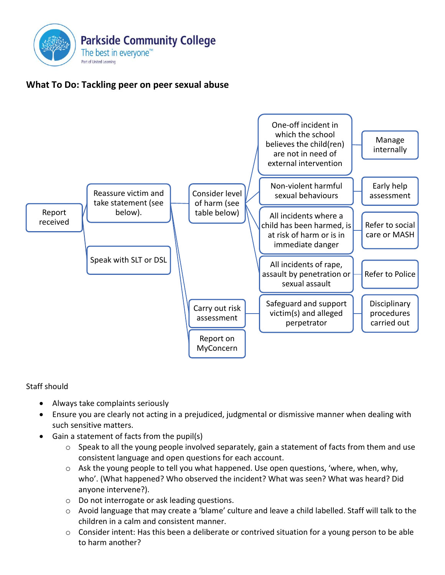

## **What To Do: Tackling peer on peer sexual abuse**



## Staff should

- Always take complaints seriously
- Ensure you are clearly not acting in a prejudiced, judgmental or dismissive manner when dealing with such sensitive matters.
- Gain a statement of facts from the pupil(s)
	- o Speak to all the young people involved separately, gain a statement of facts from them and use consistent language and open questions for each account.
	- o Ask the young people to tell you what happened. Use open questions, 'where, when, why, who'. (What happened? Who observed the incident? What was seen? What was heard? Did anyone intervene?).
	- o Do not interrogate or ask leading questions.
	- o Avoid language that may create a 'blame' culture and leave a child labelled. Staff will talk to the children in a calm and consistent manner.
	- $\circ$  Consider intent: Has this been a deliberate or contrived situation for a young person to be able to harm another?